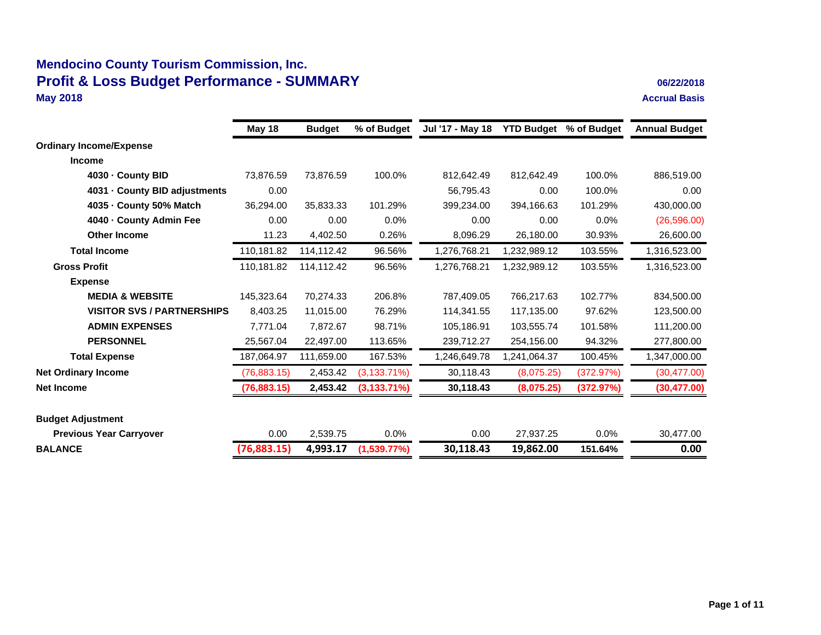### **Mendocino County Tourism Commission, Inc. Profit & Loss Budget Performance - SUMMARY** 06/22/2018<br>May 2018<br>Accrual Basis **May 2018 Accrual Basis**

|                                   | May 18       | <b>Budget</b> | % of Budget     | Jul '17 - May 18 | <b>YTD Budget</b> | % of Budget | <b>Annual Budget</b> |
|-----------------------------------|--------------|---------------|-----------------|------------------|-------------------|-------------|----------------------|
| <b>Ordinary Income/Expense</b>    |              |               |                 |                  |                   |             |                      |
| <b>Income</b>                     |              |               |                 |                  |                   |             |                      |
| 4030 - County BID                 | 73,876.59    | 73.876.59     | 100.0%          | 812,642.49       | 812,642.49        | 100.0%      | 886,519.00           |
| 4031 - County BID adjustments     | 0.00         |               |                 | 56,795.43        | 0.00              | 100.0%      | 0.00                 |
| 4035 - County 50% Match           | 36,294.00    | 35.833.33     | 101.29%         | 399,234.00       | 394,166.63        | 101.29%     | 430,000.00           |
| 4040 - County Admin Fee           | 0.00         | 0.00          | 0.0%            | 0.00             | 0.00              | 0.0%        | (26, 596.00)         |
| <b>Other Income</b>               | 11.23        | 4,402.50      | 0.26%           | 8,096.29         | 26,180.00         | 30.93%      | 26,600.00            |
| <b>Total Income</b>               | 110,181.82   | 114,112.42    | 96.56%          | 1,276,768.21     | 1,232,989.12      | 103.55%     | 1,316,523.00         |
| <b>Gross Profit</b>               | 110,181.82   | 114,112.42    | 96.56%          | 1,276,768.21     | 1,232,989.12      | 103.55%     | 1,316,523.00         |
| <b>Expense</b>                    |              |               |                 |                  |                   |             |                      |
| <b>MEDIA &amp; WEBSITE</b>        | 145,323.64   | 70,274.33     | 206.8%          | 787,409.05       | 766,217.63        | 102.77%     | 834,500.00           |
| <b>VISITOR SVS / PARTNERSHIPS</b> | 8,403.25     | 11,015.00     | 76.29%          | 114,341.55       | 117,135.00        | 97.62%      | 123,500.00           |
| <b>ADMIN EXPENSES</b>             | 7,771.04     | 7,872.67      | 98.71%          | 105,186.91       | 103,555.74        | 101.58%     | 111,200.00           |
| <b>PERSONNEL</b>                  | 25,567.04    | 22,497.00     | 113.65%         | 239,712.27       | 254,156.00        | 94.32%      | 277,800.00           |
| <b>Total Expense</b>              | 187,064.97   | 111,659.00    | 167.53%         | 1,246,649.78     | 1,241,064.37      | 100.45%     | 1,347,000.00         |
| <b>Net Ordinary Income</b>        | (76, 883.15) | 2,453.42      | $(3, 133.71\%)$ | 30,118.43        | (8,075.25)        | (372.97%)   | (30, 477.00)         |
| <b>Net Income</b>                 | (76,883.15)  | 2,453.42      | $(3, 133.71\%)$ | 30,118.43        | (8,075.25)        | (372.97%)   | (30, 477.00)         |
| <b>Budget Adjustment</b>          |              |               |                 |                  |                   |             |                      |
| <b>Previous Year Carryover</b>    | 0.00         | 2,539.75      | 0.0%            | 0.00             | 27,937.25         | 0.0%        | 30,477.00            |
| <b>BALANCE</b>                    | (76,883.15)  | 4,993.17      | (1,539.77%)     | 30,118.43        | 19,862.00         | 151.64%     | 0.00                 |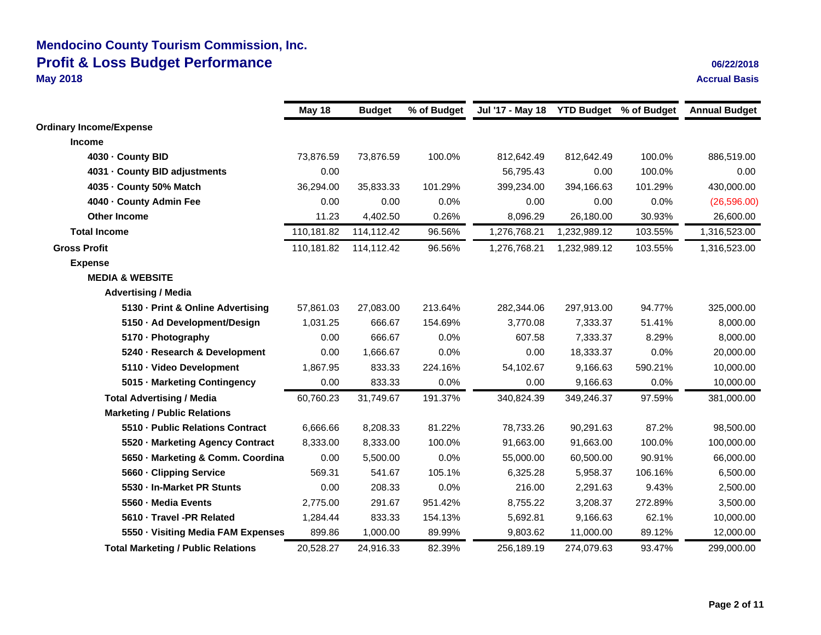### **Mendocino County Tourism Commission, Inc. Profit & Loss Budget Performance 06/22/2018 May 2018 Accrual Basis**

|  | 06/22/2018 |  |
|--|------------|--|
|  |            |  |
|  |            |  |

| May 18     | <b>Budget</b> | % of Budget |              |              |         | <b>Annual Budget</b>                    |
|------------|---------------|-------------|--------------|--------------|---------|-----------------------------------------|
|            |               |             |              |              |         |                                         |
|            |               |             |              |              |         |                                         |
| 73,876.59  | 73,876.59     | 100.0%      | 812,642.49   | 812,642.49   | 100.0%  | 886,519.00                              |
| 0.00       |               |             | 56,795.43    | 0.00         | 100.0%  | 0.00                                    |
| 36,294.00  | 35,833.33     | 101.29%     | 399,234.00   | 394,166.63   | 101.29% | 430,000.00                              |
| 0.00       | 0.00          | 0.0%        | 0.00         | 0.00         | 0.0%    | (26, 596.00)                            |
| 11.23      | 4,402.50      | 0.26%       | 8,096.29     | 26,180.00    | 30.93%  | 26,600.00                               |
| 110,181.82 | 114,112.42    | 96.56%      | 1,276,768.21 | 1,232,989.12 | 103.55% | 1,316,523.00                            |
| 110,181.82 | 114,112.42    | 96.56%      | 1,276,768.21 | 1,232,989.12 | 103.55% | 1,316,523.00                            |
|            |               |             |              |              |         |                                         |
|            |               |             |              |              |         |                                         |
|            |               |             |              |              |         |                                         |
| 57,861.03  | 27,083.00     | 213.64%     | 282,344.06   | 297,913.00   | 94.77%  | 325,000.00                              |
| 1,031.25   | 666.67        | 154.69%     | 3,770.08     | 7,333.37     | 51.41%  | 8,000.00                                |
| 0.00       | 666.67        | 0.0%        | 607.58       | 7,333.37     | 8.29%   | 8,000.00                                |
| 0.00       | 1,666.67      | 0.0%        | 0.00         | 18,333.37    | 0.0%    | 20,000.00                               |
| 1,867.95   | 833.33        | 224.16%     | 54,102.67    | 9,166.63     | 590.21% | 10,000.00                               |
| 0.00       | 833.33        | $0.0\%$     | 0.00         | 9,166.63     | 0.0%    | 10,000.00                               |
| 60,760.23  | 31,749.67     | 191.37%     | 340,824.39   | 349,246.37   | 97.59%  | 381,000.00                              |
|            |               |             |              |              |         |                                         |
| 6,666.66   | 8,208.33      | 81.22%      | 78,733.26    | 90,291.63    | 87.2%   | 98,500.00                               |
| 8,333.00   | 8,333.00      | 100.0%      | 91,663.00    | 91,663.00    | 100.0%  | 100,000.00                              |
| 0.00       | 5,500.00      | 0.0%        | 55,000.00    | 60,500.00    | 90.91%  | 66,000.00                               |
| 569.31     | 541.67        | 105.1%      | 6,325.28     | 5,958.37     | 106.16% | 6,500.00                                |
| 0.00       | 208.33        | 0.0%        | 216.00       | 2,291.63     | 9.43%   | 2,500.00                                |
| 2,775.00   | 291.67        | 951.42%     | 8,755.22     | 3,208.37     | 272.89% | 3,500.00                                |
| 1,284.44   | 833.33        | 154.13%     | 5,692.81     | 9,166.63     | 62.1%   | 10,000.00                               |
| 899.86     | 1,000.00      | 89.99%      | 9,803.62     | 11,000.00    | 89.12%  | 12,000.00                               |
| 20,528.27  | 24,916.33     | 82.39%      | 256,189.19   | 274,079.63   | 93.47%  | 299,000.00                              |
|            |               |             |              |              |         | Jul '17 - May 18 YTD Budget % of Budget |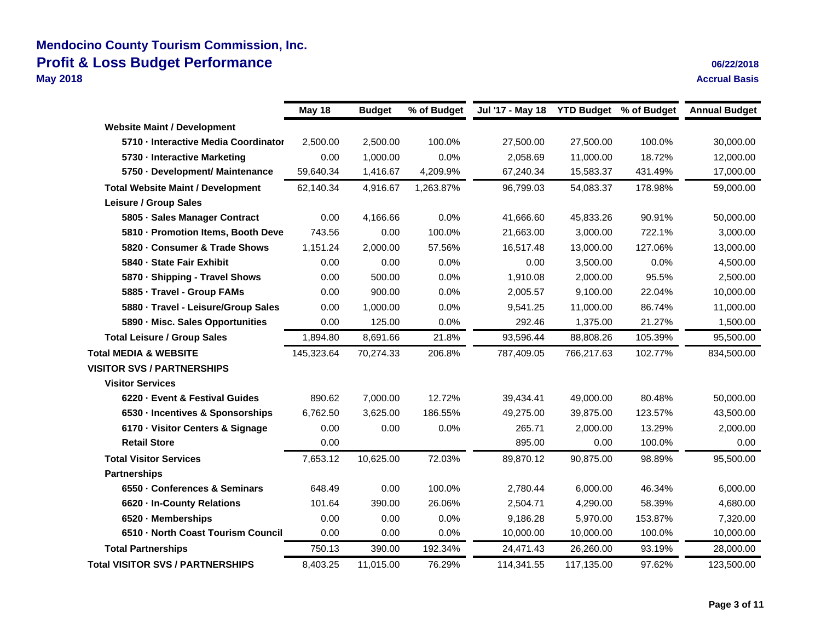### **Mendocino County Tourism Commission, Inc. Profit & Loss Budget Performance 06/22/2018**<br>
May 2018 **Decision Accrual Basis May 2018 Accrual Basis**

|                                          | <b>May 18</b> | <b>Budget</b> | % of Budget | Jul '17 - May 18 | <b>YTD Budget</b> % of Budget |         | <b>Annual Budget</b> |
|------------------------------------------|---------------|---------------|-------------|------------------|-------------------------------|---------|----------------------|
| <b>Website Maint / Development</b>       |               |               |             |                  |                               |         |                      |
| 5710 - Interactive Media Coordinator     | 2,500.00      | 2,500.00      | 100.0%      | 27,500.00        | 27,500.00                     | 100.0%  | 30,000.00            |
| 5730 - Interactive Marketing             | 0.00          | 1,000.00      | 0.0%        | 2,058.69         | 11,000.00                     | 18.72%  | 12,000.00            |
| 5750 - Development/ Maintenance          | 59,640.34     | 1,416.67      | 4,209.9%    | 67,240.34        | 15,583.37                     | 431.49% | 17,000.00            |
| <b>Total Website Maint / Development</b> | 62,140.34     | 4,916.67      | 1,263.87%   | 96,799.03        | 54,083.37                     | 178.98% | 59,000.00            |
| Leisure / Group Sales                    |               |               |             |                  |                               |         |                      |
| 5805 · Sales Manager Contract            | 0.00          | 4,166.66      | 0.0%        | 41,666.60        | 45,833.26                     | 90.91%  | 50,000.00            |
| 5810 - Promotion Items, Booth Deve       | 743.56        | 0.00          | 100.0%      | 21,663.00        | 3,000.00                      | 722.1%  | 3,000.00             |
| 5820 - Consumer & Trade Shows            | 1,151.24      | 2,000.00      | 57.56%      | 16,517.48        | 13,000.00                     | 127.06% | 13,000.00            |
| 5840 - State Fair Exhibit                | 0.00          | 0.00          | 0.0%        | 0.00             | 3,500.00                      | 0.0%    | 4,500.00             |
| 5870 - Shipping - Travel Shows           | 0.00          | 500.00        | 0.0%        | 1,910.08         | 2,000.00                      | 95.5%   | 2,500.00             |
| 5885 - Travel - Group FAMs               | 0.00          | 900.00        | 0.0%        | 2,005.57         | 9,100.00                      | 22.04%  | 10,000.00            |
| 5880 · Travel - Leisure/Group Sales      | 0.00          | 1,000.00      | 0.0%        | 9,541.25         | 11,000.00                     | 86.74%  | 11,000.00            |
| 5890 - Misc. Sales Opportunities         | 0.00          | 125.00        | 0.0%        | 292.46           | 1,375.00                      | 21.27%  | 1,500.00             |
| <b>Total Leisure / Group Sales</b>       | 1,894.80      | 8,691.66      | 21.8%       | 93,596.44        | 88,808.26                     | 105.39% | 95,500.00            |
| <b>Total MEDIA &amp; WEBSITE</b>         | 145,323.64    | 70,274.33     | 206.8%      | 787,409.05       | 766,217.63                    | 102.77% | 834,500.00           |
| <b>VISITOR SVS / PARTNERSHIPS</b>        |               |               |             |                  |                               |         |                      |
| <b>Visitor Services</b>                  |               |               |             |                  |                               |         |                      |
| 6220 - Event & Festival Guides           | 890.62        | 7,000.00      | 12.72%      | 39,434.41        | 49,000.00                     | 80.48%  | 50,000.00            |
| 6530 - Incentives & Sponsorships         | 6,762.50      | 3,625.00      | 186.55%     | 49,275.00        | 39,875.00                     | 123.57% | 43,500.00            |
| 6170 · Visitor Centers & Signage         | 0.00          | 0.00          | 0.0%        | 265.71           | 2,000.00                      | 13.29%  | 2,000.00             |
| <b>Retail Store</b>                      | 0.00          |               |             | 895.00           | 0.00                          | 100.0%  | 0.00                 |
| <b>Total Visitor Services</b>            | 7,653.12      | 10,625.00     | 72.03%      | 89,870.12        | 90,875.00                     | 98.89%  | 95,500.00            |
| <b>Partnerships</b>                      |               |               |             |                  |                               |         |                      |
| 6550 - Conferences & Seminars            | 648.49        | 0.00          | 100.0%      | 2.780.44         | 6,000.00                      | 46.34%  | 6,000.00             |
| 6620 - In-County Relations               | 101.64        | 390.00        | 26.06%      | 2,504.71         | 4,290.00                      | 58.39%  | 4,680.00             |
| 6520 - Memberships                       | 0.00          | 0.00          | 0.0%        | 9,186.28         | 5,970.00                      | 153.87% | 7,320.00             |
| 6510 - North Coast Tourism Council       | 0.00          | 0.00          | 0.0%        | 10,000.00        | 10,000.00                     | 100.0%  | 10,000.00            |
| <b>Total Partnerships</b>                | 750.13        | 390.00        | 192.34%     | 24,471.43        | 26,260.00                     | 93.19%  | 28,000.00            |
| <b>Total VISITOR SVS / PARTNERSHIPS</b>  | 8,403.25      | 11,015.00     | 76.29%      | 114,341.55       | 117,135.00                    | 97.62%  | 123,500.00           |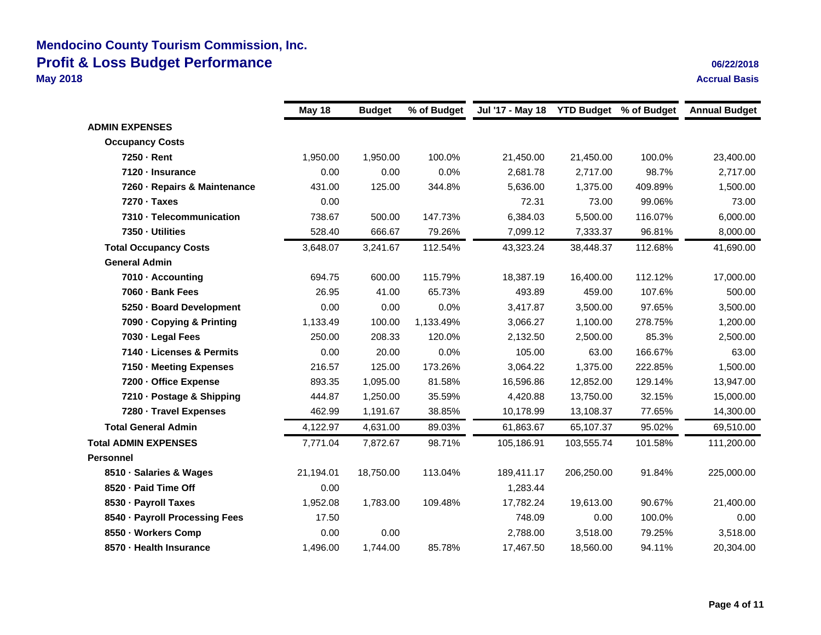### **Mendocino County Tourism Commission, Inc. Profit & Loss Budget Performance 06/22/2018 May 2018 Accrual Basis**

|                                | May 18    | <b>Budget</b> | % of Budget | Jul '17 - May 18 | <b>YTD Budget % of Budget</b> |         | <b>Annual Budget</b> |
|--------------------------------|-----------|---------------|-------------|------------------|-------------------------------|---------|----------------------|
| <b>ADMIN EXPENSES</b>          |           |               |             |                  |                               |         |                      |
| <b>Occupancy Costs</b>         |           |               |             |                  |                               |         |                      |
| 7250 - Rent                    | 1,950.00  | 1,950.00      | 100.0%      | 21,450.00        | 21,450.00                     | 100.0%  | 23,400.00            |
| 7120 - Insurance               | 0.00      | 0.00          | 0.0%        | 2,681.78         | 2,717.00                      | 98.7%   | 2,717.00             |
| 7260 - Repairs & Maintenance   | 431.00    | 125.00        | 344.8%      | 5,636.00         | 1,375.00                      | 409.89% | 1,500.00             |
| 7270 · Taxes                   | 0.00      |               |             | 72.31            | 73.00                         | 99.06%  | 73.00                |
| 7310 - Telecommunication       | 738.67    | 500.00        | 147.73%     | 6,384.03         | 5,500.00                      | 116.07% | 6,000.00             |
| 7350 - Utilities               | 528.40    | 666.67        | 79.26%      | 7,099.12         | 7,333.37                      | 96.81%  | 8,000.00             |
| <b>Total Occupancy Costs</b>   | 3,648.07  | 3,241.67      | 112.54%     | 43,323.24        | 38,448.37                     | 112.68% | 41,690.00            |
| <b>General Admin</b>           |           |               |             |                  |                               |         |                      |
| 7010 - Accounting              | 694.75    | 600.00        | 115.79%     | 18,387.19        | 16,400.00                     | 112.12% | 17,000.00            |
| 7060 - Bank Fees               | 26.95     | 41.00         | 65.73%      | 493.89           | 459.00                        | 107.6%  | 500.00               |
| 5250 - Board Development       | 0.00      | 0.00          | 0.0%        | 3,417.87         | 3,500.00                      | 97.65%  | 3,500.00             |
| 7090 - Copying & Printing      | 1,133.49  | 100.00        | 1,133.49%   | 3,066.27         | 1,100.00                      | 278.75% | 1,200.00             |
| 7030 - Legal Fees              | 250.00    | 208.33        | 120.0%      | 2,132.50         | 2,500.00                      | 85.3%   | 2,500.00             |
| 7140 - Licenses & Permits      | 0.00      | 20.00         | 0.0%        | 105.00           | 63.00                         | 166.67% | 63.00                |
| 7150 - Meeting Expenses        | 216.57    | 125.00        | 173.26%     | 3,064.22         | 1,375.00                      | 222.85% | 1,500.00             |
| 7200 - Office Expense          | 893.35    | 1,095.00      | 81.58%      | 16,596.86        | 12,852.00                     | 129.14% | 13,947.00            |
| 7210 - Postage & Shipping      | 444.87    | 1,250.00      | 35.59%      | 4,420.88         | 13,750.00                     | 32.15%  | 15,000.00            |
| 7280 - Travel Expenses         | 462.99    | 1,191.67      | 38.85%      | 10,178.99        | 13,108.37                     | 77.65%  | 14,300.00            |
| <b>Total General Admin</b>     | 4,122.97  | 4,631.00      | 89.03%      | 61,863.67        | 65,107.37                     | 95.02%  | 69,510.00            |
| <b>Total ADMIN EXPENSES</b>    | 7,771.04  | 7,872.67      | 98.71%      | 105,186.91       | 103,555.74                    | 101.58% | 111,200.00           |
| <b>Personnel</b>               |           |               |             |                  |                               |         |                      |
| 8510 - Salaries & Wages        | 21,194.01 | 18,750.00     | 113.04%     | 189,411.17       | 206,250.00                    | 91.84%  | 225,000.00           |
| 8520 - Paid Time Off           | 0.00      |               |             | 1,283.44         |                               |         |                      |
| 8530 - Payroll Taxes           | 1,952.08  | 1,783.00      | 109.48%     | 17,782.24        | 19,613.00                     | 90.67%  | 21,400.00            |
| 8540 - Payroll Processing Fees | 17.50     |               |             | 748.09           | 0.00                          | 100.0%  | 0.00                 |
| 8550 · Workers Comp            | 0.00      | 0.00          |             | 2,788.00         | 3,518.00                      | 79.25%  | 3,518.00             |
| 8570 - Health Insurance        | 1,496.00  | 1,744.00      | 85.78%      | 17,467.50        | 18,560.00                     | 94.11%  | 20,304.00            |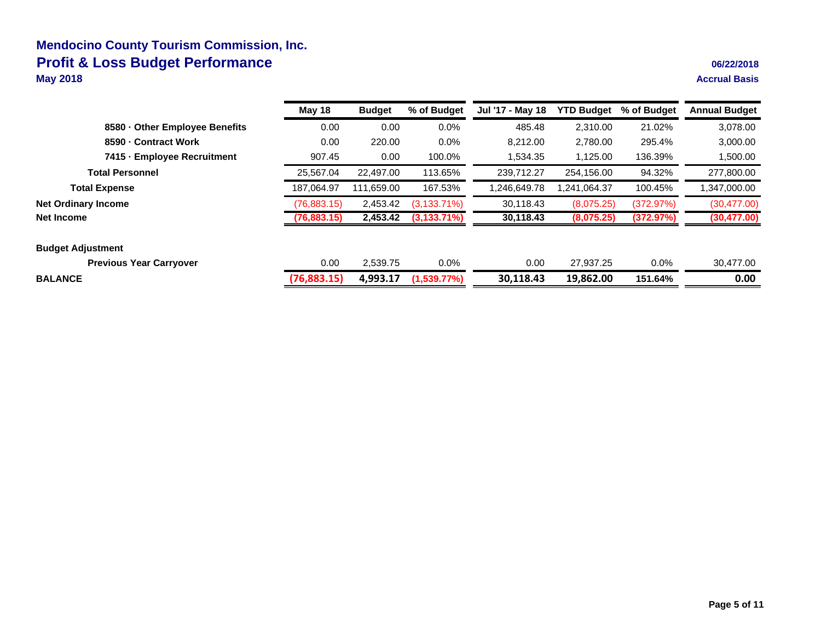### **Mendocino County Tourism Commission, Inc. Profit & Loss Budget Performance**<br>May 2018 **May 2018 Accrual Basis**

|  |  |  | 06/22/2018 |  |
|--|--|--|------------|--|
|--|--|--|------------|--|

|                                | May 18       | <b>Budget</b> | % of Budget     | Jul '17 - May 18 | <b>YTD Budget</b> | % of Budget | <b>Annual Budget</b> |
|--------------------------------|--------------|---------------|-----------------|------------------|-------------------|-------------|----------------------|
| 8580 - Other Employee Benefits | 0.00         | 0.00          | $0.0\%$         | 485.48           | 2.310.00          | 21.02%      | 3,078.00             |
| 8590 - Contract Work           | 0.00         | 220.00        | $0.0\%$         | 8.212.00         | 2,780.00          | 295.4%      | 3,000.00             |
| 7415 - Employee Recruitment    | 907.45       | 0.00          | 100.0%          | 1.534.35         | 1.125.00          | 136.39%     | 1,500.00             |
| <b>Total Personnel</b>         | 25,567.04    | 22,497.00     | 113.65%         | 239.712.27       | 254,156.00        | 94.32%      | 277,800.00           |
| <b>Total Expense</b>           | 187.064.97   | 111.659.00    | 167.53%         | 1.246.649.78     | 241,064.37,       | 100.45%     | 1,347,000.00         |
| <b>Net Ordinary Income</b>     | (76, 883.15) | 2,453.42      | $(3, 133.71\%)$ | 30,118.43        | (8,075.25)        | (372.97%)   | (30, 477, 00)        |
| Net Income                     | (76,883.15)  | 2,453.42      | $(3,133.71\%)$  | 30,118.43        | (8,075.25)        | (372.97%)   | (30, 477.00)         |
| <b>Budget Adjustment</b>       |              |               |                 |                  |                   |             |                      |
| <b>Previous Year Carryover</b> | 0.00         | 2.539.75      | 0.0%            | 0.00             | 27.937.25         | $0.0\%$     | 30.477.00            |
| <b>BALANCE</b>                 | (76,883.15)  | 4.993.17      | (1,539.77%)     | 30,118.43        | 19,862.00         | 151.64%     | 0.00                 |
|                                |              |               |                 |                  |                   |             |                      |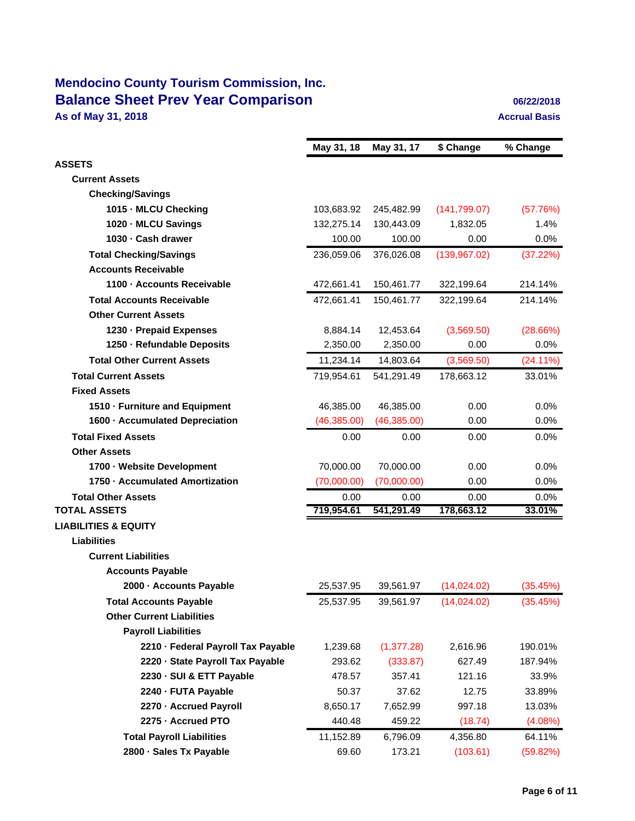# **Mendocino County Tourism Commission, Inc. Balance Sheet Prev Year Comparison 1989 1989 1989 1989 1989 1989 1989 1989 1989 1989 1989 1989 1989 1989 1989 1989 1989 1989 1989 1989 1989 1989 1989 1989 1989 1989 19 As of May 31, 2018 Accrual Basis**

|                                    | May 31, 18   | May 31, 17   | \$ Change     | % Change    |
|------------------------------------|--------------|--------------|---------------|-------------|
| <b>ASSETS</b>                      |              |              |               |             |
| <b>Current Assets</b>              |              |              |               |             |
| <b>Checking/Savings</b>            |              |              |               |             |
| 1015 - MLCU Checking               | 103,683.92   | 245,482.99   | (141, 799.07) | (57.76%)    |
| 1020 - MLCU Savings                | 132,275.14   | 130,443.09   | 1,832.05      | 1.4%        |
| 1030 - Cash drawer                 | 100.00       | 100.00       | 0.00          | $0.0\%$     |
| <b>Total Checking/Savings</b>      | 236,059.06   | 376,026.08   | (139, 967.02) | (37.22%)    |
| <b>Accounts Receivable</b>         |              |              |               |             |
| 1100 - Accounts Receivable         | 472,661.41   | 150,461.77   | 322,199.64    | 214.14%     |
| <b>Total Accounts Receivable</b>   | 472,661.41   | 150,461.77   | 322,199.64    | 214.14%     |
| <b>Other Current Assets</b>        |              |              |               |             |
| 1230 - Prepaid Expenses            | 8,884.14     | 12,453.64    | (3,569.50)    | (28.66%)    |
| 1250 - Refundable Deposits         | 2,350.00     | 2,350.00     | 0.00          | $0.0\%$     |
| <b>Total Other Current Assets</b>  | 11,234.14    | 14,803.64    | (3,569.50)    | $(24.11\%)$ |
| <b>Total Current Assets</b>        | 719,954.61   | 541,291.49   | 178,663.12    | 33.01%      |
| <b>Fixed Assets</b>                |              |              |               |             |
| 1510 - Furniture and Equipment     | 46,385.00    | 46,385.00    | 0.00          | 0.0%        |
| 1600 - Accumulated Depreciation    | (46, 385.00) | (46, 385.00) | 0.00          | 0.0%        |
| <b>Total Fixed Assets</b>          | 0.00         | 0.00         | 0.00          | $0.0\%$     |
| <b>Other Assets</b>                |              |              |               |             |
| 1700 - Website Development         | 70,000.00    | 70,000.00    | 0.00          | 0.0%        |
| 1750 - Accumulated Amortization    | (70,000.00)  | (70,000.00)  | 0.00          | 0.0%        |
| <b>Total Other Assets</b>          | 0.00         | 0.00         | 0.00          | 0.0%        |
| <b>TOTAL ASSETS</b>                | 719,954.61   | 541,291.49   | 178,663.12    | 33.01%      |
| <b>LIABILITIES &amp; EQUITY</b>    |              |              |               |             |
| <b>Liabilities</b>                 |              |              |               |             |
| <b>Current Liabilities</b>         |              |              |               |             |
| <b>Accounts Payable</b>            |              |              |               |             |
| 2000 - Accounts Payable            | 25,537.95    | 39,561.97    | (14,024.02)   | (35.45%)    |
| <b>Total Accounts Payable</b>      | 25,537.95    | 39,561.97    | (14,024.02)   | (35.45%)    |
| <b>Other Current Liabilities</b>   |              |              |               |             |
| <b>Payroll Liabilities</b>         |              |              |               |             |
| 2210 - Federal Payroll Tax Payable | 1,239.68     | (1, 377.28)  | 2,616.96      | 190.01%     |
| 2220 - State Payroll Tax Payable   | 293.62       | (333.87)     | 627.49        | 187.94%     |
| 2230 - SUI & ETT Payable           | 478.57       | 357.41       | 121.16        | 33.9%       |
| 2240 - FUTA Payable                | 50.37        | 37.62        | 12.75         | 33.89%      |
| 2270 - Accrued Payroll             | 8,650.17     | 7,652.99     | 997.18        | 13.03%      |
| 2275 - Accrued PTO                 | 440.48       | 459.22       | (18.74)       | $(4.08\%)$  |
| <b>Total Payroll Liabilities</b>   | 11,152.89    | 6,796.09     | 4,356.80      | 64.11%      |
| 2800 · Sales Tx Payable            | 69.60        | 173.21       | (103.61)      | (59.82%)    |
|                                    |              |              |               |             |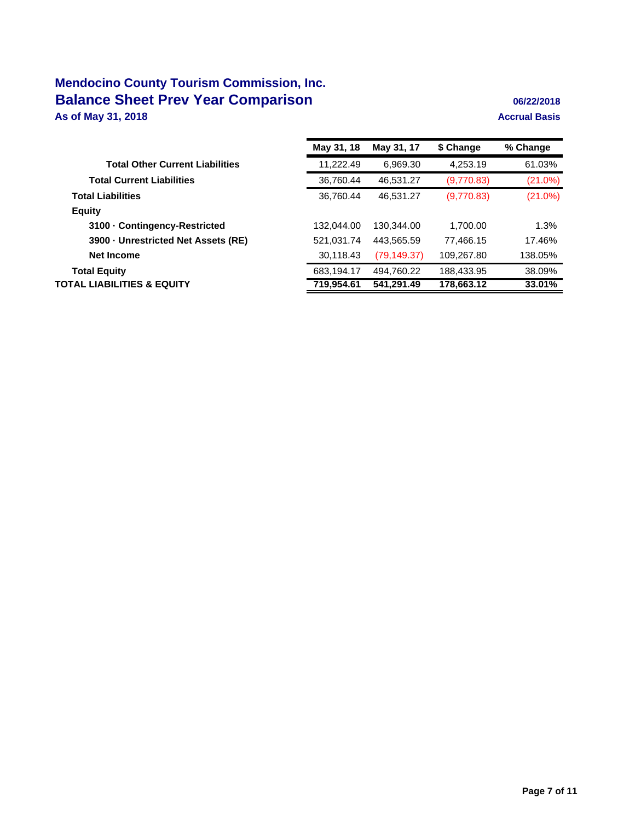# **Mendocino County Tourism Commission, Inc. Balance Sheet Prev Year Comparison 1989 1989 1989 1989 1989 1989 1989 1989 1989 1989 1989 1989 1989 1989 1989 1989 1989 1989 1989 1989 1989 1989 1989 1989 1989 1989 19 As of May 31, 2018 Accrual Basis**

|                                        | May 31, 18 | May 31, 17   | \$ Change  | % Change   |
|----------------------------------------|------------|--------------|------------|------------|
| <b>Total Other Current Liabilities</b> | 11,222.49  | 6,969.30     | 4,253.19   | 61.03%     |
| <b>Total Current Liabilities</b>       | 36,760.44  | 46,531.27    | (9,770.83) | $(21.0\%)$ |
| <b>Total Liabilities</b>               | 36.760.44  | 46,531.27    | (9,770.83) | $(21.0\%)$ |
| <b>Equity</b>                          |            |              |            |            |
| 3100 - Contingency-Restricted          | 132.044.00 | 130.344.00   | 1,700.00   | 1.3%       |
| 3900 - Unrestricted Net Assets (RE)    | 521,031.74 | 443,565.59   | 77,466.15  | 17.46%     |
| Net Income                             | 30,118.43  | (79, 149.37) | 109,267.80 | 138.05%    |
| <b>Total Equity</b>                    | 683,194.17 | 494,760.22   | 188,433.95 | 38.09%     |
| TOTAL LIABILITIES & EQUITY             | 719,954.61 | 541.291.49   | 178,663.12 | 33.01%     |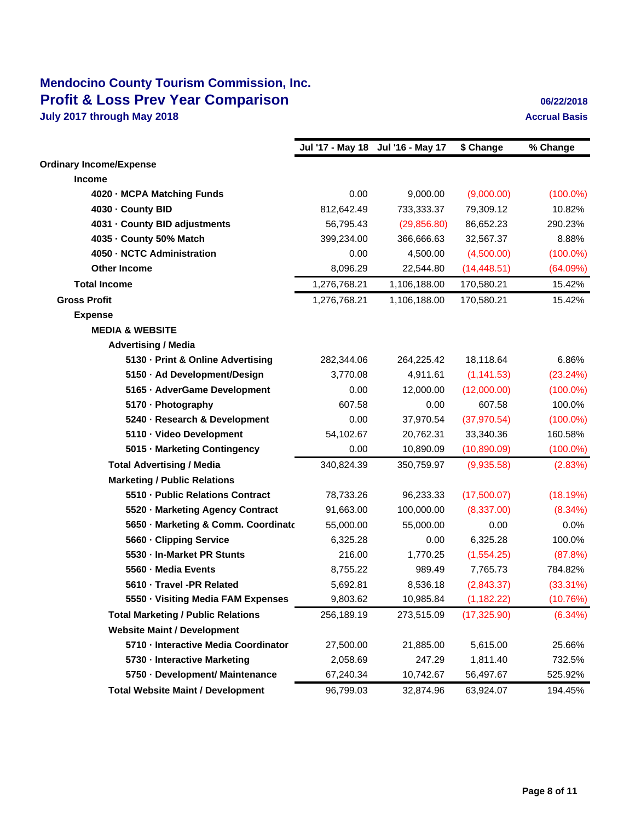# **Mendocino County Tourism Commission, Inc. Profit & Loss Prev Year Comparison 1989 12:2018 1999 12:2018 July 2017 through May 2018 Accrual Basis Accrual Basis Accrual Basis**

|                                           |              | Jul '17 - May 18 Jul '16 - May 17 | \$ Change    | % Change    |
|-------------------------------------------|--------------|-----------------------------------|--------------|-------------|
| <b>Ordinary Income/Expense</b>            |              |                                   |              |             |
| <b>Income</b>                             |              |                                   |              |             |
| 4020 - MCPA Matching Funds                | 0.00         | 9,000.00                          | (9,000.00)   | $(100.0\%)$ |
| 4030 - County BID                         | 812,642.49   | 733,333.37                        | 79,309.12    | 10.82%      |
| 4031 - County BID adjustments             | 56,795.43    | (29, 856.80)                      | 86,652.23    | 290.23%     |
| 4035 - County 50% Match                   | 399,234.00   | 366,666.63                        | 32,567.37    | 8.88%       |
| 4050 - NCTC Administration                | 0.00         | 4,500.00                          | (4,500.00)   | $(100.0\%)$ |
| <b>Other Income</b>                       | 8,096.29     | 22,544.80                         | (14, 448.51) | (64.09%)    |
| <b>Total Income</b>                       | 1,276,768.21 | 1,106,188.00                      | 170,580.21   | 15.42%      |
| <b>Gross Profit</b>                       | 1,276,768.21 | 1,106,188.00                      | 170,580.21   | 15.42%      |
| <b>Expense</b>                            |              |                                   |              |             |
| <b>MEDIA &amp; WEBSITE</b>                |              |                                   |              |             |
| <b>Advertising / Media</b>                |              |                                   |              |             |
| 5130 - Print & Online Advertising         | 282,344.06   | 264,225.42                        | 18,118.64    | 6.86%       |
| 5150 · Ad Development/Design              | 3,770.08     | 4,911.61                          | (1, 141.53)  | (23.24%)    |
| 5165 - AdverGame Development              | 0.00         | 12,000.00                         | (12,000.00)  | $(100.0\%)$ |
| 5170 - Photography                        | 607.58       | 0.00                              | 607.58       | 100.0%      |
| 5240 - Research & Development             | 0.00         | 37,970.54                         | (37, 970.54) | $(100.0\%)$ |
| 5110 · Video Development                  | 54,102.67    | 20,762.31                         | 33,340.36    | 160.58%     |
| 5015 - Marketing Contingency              | 0.00         | 10,890.09                         | (10,890.09)  | $(100.0\%)$ |
| <b>Total Advertising / Media</b>          | 340,824.39   | 350,759.97                        | (9,935.58)   | (2.83%)     |
| <b>Marketing / Public Relations</b>       |              |                                   |              |             |
| 5510 - Public Relations Contract          | 78,733.26    | 96,233.33                         | (17,500.07)  | (18.19%)    |
| 5520 - Marketing Agency Contract          | 91,663.00    | 100,000.00                        | (8,337.00)   | $(8.34\%)$  |
| 5650 - Marketing & Comm. Coordinato       | 55,000.00    | 55,000.00                         | 0.00         | 0.0%        |
| 5660 - Clipping Service                   | 6,325.28     | 0.00                              | 6,325.28     | 100.0%      |
| 5530 - In-Market PR Stunts                | 216.00       | 1,770.25                          | (1,554.25)   | (87.8%)     |
| 5560 - Media Events                       | 8,755.22     | 989.49                            | 7,765.73     | 784.82%     |
| 5610 - Travel -PR Related                 | 5,692.81     | 8,536.18                          | (2,843.37)   | $(33.31\%)$ |
| 5550 - Visiting Media FAM Expenses        | 9,803.62     | 10,985.84                         | (1, 182.22)  | (10.76%)    |
| <b>Total Marketing / Public Relations</b> | 256,189.19   | 273,515.09                        | (17, 325.90) | (6.34%)     |
| <b>Website Maint / Development</b>        |              |                                   |              |             |
| 5710 - Interactive Media Coordinator      | 27,500.00    | 21,885.00                         | 5,615.00     | 25.66%      |
| 5730 - Interactive Marketing              | 2,058.69     | 247.29                            | 1,811.40     | 732.5%      |
| 5750 - Development/ Maintenance           | 67,240.34    | 10,742.67                         | 56,497.67    | 525.92%     |
| <b>Total Website Maint / Development</b>  | 96,799.03    | 32,874.96                         | 63,924.07    | 194.45%     |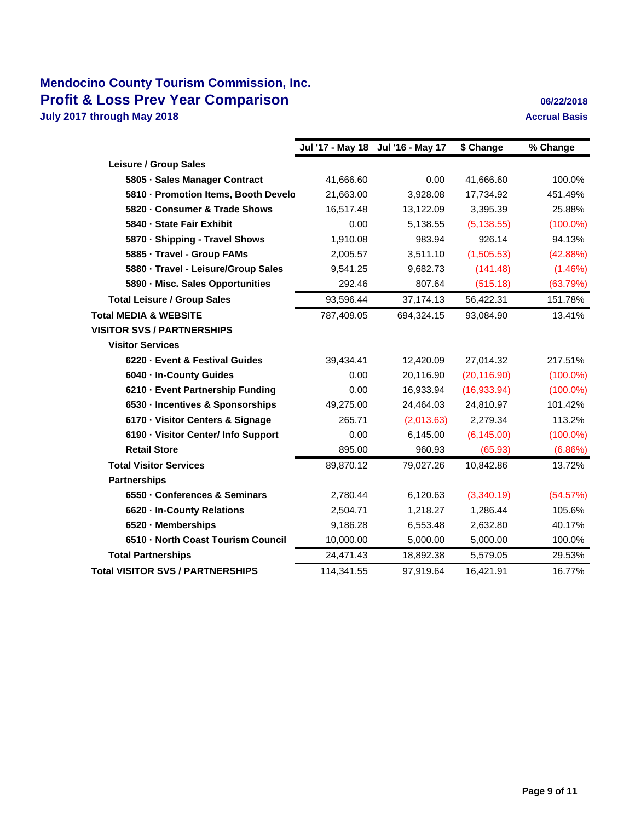# **Mendocino County Tourism Commission, Inc. Profit & Loss Prev Year Comparison 1989 12:2018 06/22/2018 July 2017 through May 2018 Accrual Basis Accrual Basis Accrual Basis**

|                                                   |            | \$ Change                         | % Change    |
|---------------------------------------------------|------------|-----------------------------------|-------------|
|                                                   |            |                                   |             |
| 41,666.60                                         | 0.00       | 41,666.60                         | 100.0%      |
| 5810 - Promotion Items, Booth Develo<br>21,663.00 | 3.928.08   | 17.734.92                         | 451.49%     |
| 16,517.48                                         | 13,122.09  | 3,395.39                          | 25.88%      |
| 0.00                                              | 5,138.55   | (5, 138.55)                       | $(100.0\%)$ |
| 1,910.08                                          | 983.94     | 926.14                            | 94.13%      |
| 2,005.57                                          | 3,511.10   | (1,505.53)                        | (42.88%)    |
| 9,541.25                                          | 9,682.73   | (141.48)                          | (1.46%)     |
| 292.46                                            | 807.64     | (515.18)                          | (63.79%)    |
| 93,596.44                                         | 37,174.13  | 56,422.31                         | 151.78%     |
| 787,409.05                                        | 694,324.15 | 93,084.90                         | 13.41%      |
|                                                   |            |                                   |             |
|                                                   |            |                                   |             |
| 39,434.41                                         | 12,420.09  | 27,014.32                         | 217.51%     |
| 0.00                                              | 20,116.90  | (20, 116.90)                      | $(100.0\%)$ |
| 0.00                                              | 16,933.94  | (16,933.94)                       | $(100.0\%)$ |
| 49,275.00                                         | 24,464.03  | 24,810.97                         | 101.42%     |
| 265.71                                            | (2,013.63) | 2,279.34                          | 113.2%      |
| 0.00                                              | 6,145.00   | (6, 145.00)                       | $(100.0\%)$ |
| 895.00                                            | 960.93     | (65.93)                           | (6.86%)     |
| 89,870.12                                         | 79,027.26  | 10,842.86                         | 13.72%      |
|                                                   |            |                                   |             |
| 2,780.44                                          | 6,120.63   | (3,340.19)                        | (54.57%)    |
| 2,504.71                                          | 1,218.27   | 1,286.44                          | 105.6%      |
| 9,186.28                                          | 6,553.48   | 2,632.80                          | 40.17%      |
| 10,000.00                                         | 5,000.00   | 5,000.00                          | 100.0%      |
| 24,471.43                                         | 18,892.38  | 5,579.05                          | 29.53%      |
| 114,341.55                                        | 97,919.64  | 16,421.91                         | 16.77%      |
|                                                   |            | Jul '17 - May 18 Jul '16 - May 17 |             |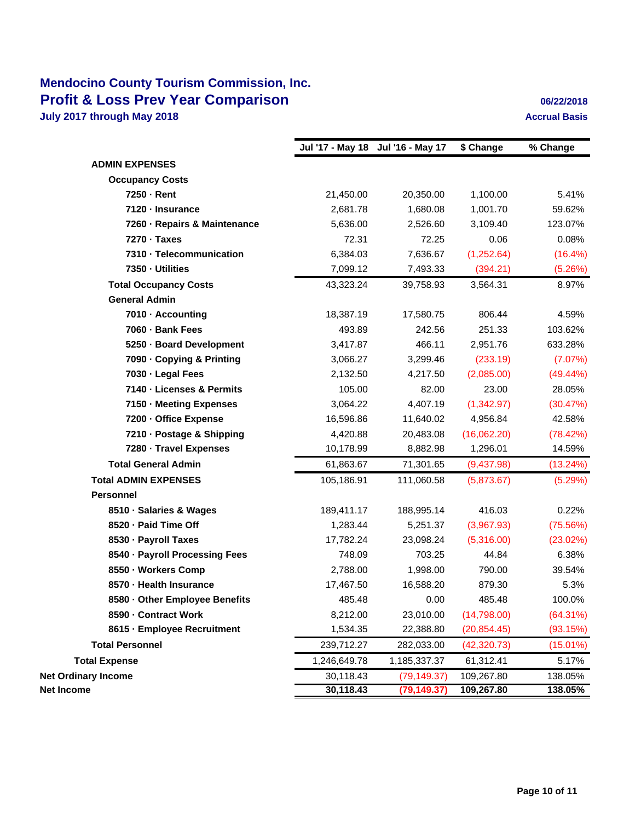# **Mendocino County Tourism Commission, Inc. Profit & Loss Prev Year Comparison 1989 12:2018 06/22/2018 July 2017 through May 2018 Accrual Basis Accrual Basis Accrual Basis**

|                                |              | Jul '17 - May 18 Jul '16 - May 17 | \$ Change    | % Change    |
|--------------------------------|--------------|-----------------------------------|--------------|-------------|
| <b>ADMIN EXPENSES</b>          |              |                                   |              |             |
| <b>Occupancy Costs</b>         |              |                                   |              |             |
| 7250 - Rent                    | 21,450.00    | 20,350.00                         | 1,100.00     | 5.41%       |
| 7120 - Insurance               | 2,681.78     | 1,680.08                          | 1,001.70     | 59.62%      |
| 7260 - Repairs & Maintenance   | 5,636.00     | 2,526.60                          | 3,109.40     | 123.07%     |
| 7270 - Taxes                   | 72.31        | 72.25                             | 0.06         | 0.08%       |
| 7310 - Telecommunication       | 6,384.03     | 7,636.67                          | (1,252.64)   | $(16.4\%)$  |
| 7350 - Utilities               | 7,099.12     | 7,493.33                          | (394.21)     | (5.26%)     |
| <b>Total Occupancy Costs</b>   | 43,323.24    | 39,758.93                         | 3,564.31     | 8.97%       |
| <b>General Admin</b>           |              |                                   |              |             |
| 7010 - Accounting              | 18,387.19    | 17,580.75                         | 806.44       | 4.59%       |
| 7060 · Bank Fees               | 493.89       | 242.56                            | 251.33       | 103.62%     |
| 5250 - Board Development       | 3,417.87     | 466.11                            | 2,951.76     | 633.28%     |
| 7090 - Copying & Printing      | 3,066.27     | 3,299.46                          | (233.19)     | (7.07%)     |
| 7030 - Legal Fees              | 2,132.50     | 4,217.50                          | (2,085.00)   | $(49.44\%)$ |
| 7140 - Licenses & Permits      | 105.00       | 82.00                             | 23.00        | 28.05%      |
| 7150 - Meeting Expenses        | 3,064.22     | 4,407.19                          | (1,342.97)   | (30.47%)    |
| 7200 - Office Expense          | 16,596.86    | 11,640.02                         | 4,956.84     | 42.58%      |
| 7210 - Postage & Shipping      | 4,420.88     | 20,483.08                         | (16,062.20)  | (78.42%)    |
| 7280 - Travel Expenses         | 10,178.99    | 8,882.98                          | 1,296.01     | 14.59%      |
| <b>Total General Admin</b>     | 61,863.67    | 71,301.65                         | (9,437.98)   | (13.24%)    |
| <b>Total ADMIN EXPENSES</b>    | 105,186.91   | 111,060.58                        | (5,873.67)   | (5.29%)     |
| <b>Personnel</b>               |              |                                   |              |             |
| 8510 · Salaries & Wages        | 189,411.17   | 188,995.14                        | 416.03       | 0.22%       |
| 8520 - Paid Time Off           | 1,283.44     | 5,251.37                          | (3,967.93)   | (75.56%)    |
| 8530 - Payroll Taxes           | 17,782.24    | 23,098.24                         | (5,316.00)   | (23.02%)    |
| 8540 · Payroll Processing Fees | 748.09       | 703.25                            | 44.84        | 6.38%       |
| 8550 · Workers Comp            | 2,788.00     | 1,998.00                          | 790.00       | 39.54%      |
| 8570 - Health Insurance        | 17,467.50    | 16,588.20                         | 879.30       | 5.3%        |
| 8580 - Other Employee Benefits | 485.48       | 0.00                              | 485.48       | 100.0%      |
| 8590 - Contract Work           | 8,212.00     | 23,010.00                         | (14,798.00)  | (64.31%)    |
| 8615 - Employee Recruitment    | 1,534.35     | 22,388.80                         | (20, 854.45) | (93.15%)    |
| <b>Total Personnel</b>         | 239,712.27   | 282,033.00                        | (42, 320.73) | (15.01%)    |
| <b>Total Expense</b>           | 1,246,649.78 | 1,185,337.37                      | 61,312.41    | 5.17%       |
| <b>Net Ordinary Income</b>     | 30,118.43    | (79, 149.37)                      | 109,267.80   | 138.05%     |
| Net Income                     | 30,118.43    | (79, 149.37)                      | 109,267.80   | 138.05%     |